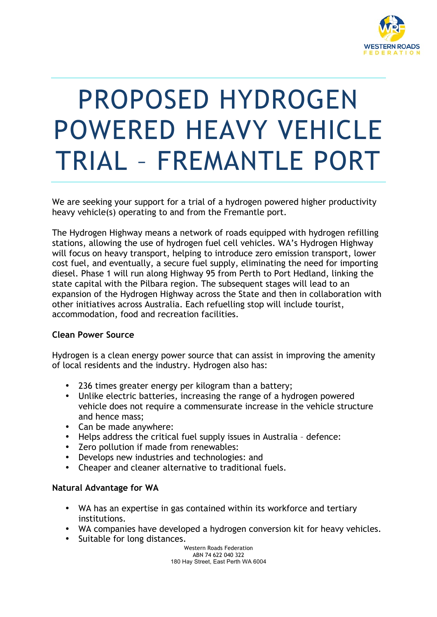

# PROPOSED HYDROGEN POWERED HEAVY VEHICLE TRIAL – FREMANTLE PORT

We are seeking your support for a trial of a hydrogen powered higher productivity heavy vehicle(s) operating to and from the Fremantle port.

The Hydrogen Highway means a network of roads equipped with hydrogen refilling stations, allowing the use of hydrogen fuel cell vehicles. WA's Hydrogen Highway will focus on heavy transport, helping to introduce zero emission transport, lower cost fuel, and eventually, a secure fuel supply, eliminating the need for importing diesel. Phase 1 will run along Highway 95 from Perth to Port Hedland, linking the state capital with the Pilbara region. The subsequent stages will lead to an expansion of the Hydrogen Highway across the State and then in collaboration with other initiatives across Australia. Each refuelling stop will include tourist, accommodation, food and recreation facilities.

### **Clean Power Source**

Hydrogen is a clean energy power source that can assist in improving the amenity of local residents and the industry. Hydrogen also has:

- 236 times greater energy per kilogram than a battery;
- Unlike electric batteries, increasing the range of a hydrogen powered vehicle does not require a commensurate increase in the vehicle structure and hence mass;
- Can be made anywhere:
- Helps address the critical fuel supply issues in Australia defence:
- Zero pollution if made from renewables:
- Develops new industries and technologies: and
- Cheaper and cleaner alternative to traditional fuels.

### **Natural Advantage for WA**

- WA has an expertise in gas contained within its workforce and tertiary institutions.
- WA companies have developed a hydrogen conversion kit for heavy vehicles.
- Suitable for long distances.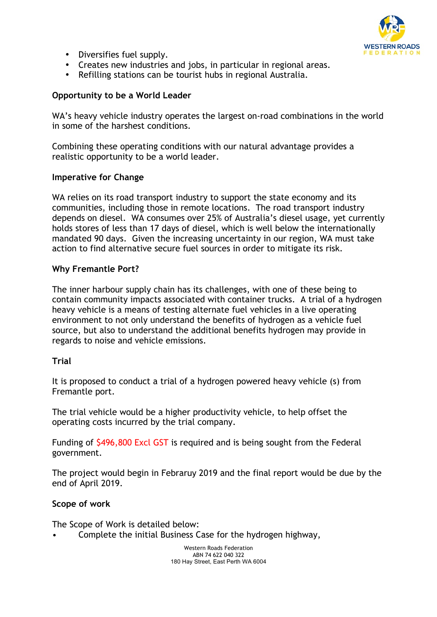

- Diversifies fuel supply.
- Creates new industries and jobs, in particular in regional areas.
- Refilling stations can be tourist hubs in regional Australia.

## **Opportunity to be a World Leader**

WA's heavy vehicle industry operates the largest on-road combinations in the world in some of the harshest conditions.

Combining these operating conditions with our natural advantage provides a realistic opportunity to be a world leader.

### **Imperative for Change**

WA relies on its road transport industry to support the state economy and its communities, including those in remote locations. The road transport industry depends on diesel. WA consumes over 25% of Australia's diesel usage, yet currently holds stores of less than 17 days of diesel, which is well below the internationally mandated 90 days. Given the increasing uncertainty in our region, WA must take action to find alternative secure fuel sources in order to mitigate its risk.

### **Why Fremantle Port?**

The inner harbour supply chain has its challenges, with one of these being to contain community impacts associated with container trucks. A trial of a hydrogen heavy vehicle is a means of testing alternate fuel vehicles in a live operating environment to not only understand the benefits of hydrogen as a vehicle fuel source, but also to understand the additional benefits hydrogen may provide in regards to noise and vehicle emissions.

### **Trial**

It is proposed to conduct a trial of a hydrogen powered heavy vehicle (s) from Fremantle port.

The trial vehicle would be a higher productivity vehicle, to help offset the operating costs incurred by the trial company.

Funding of \$496,800 Excl GST is required and is being sought from the Federal government.

The project would begin in Febraruy 2019 and the final report would be due by the end of April 2019.

### **Scope of work**

The Scope of Work is detailed below:

• Complete the initial Business Case for the hydrogen highway,